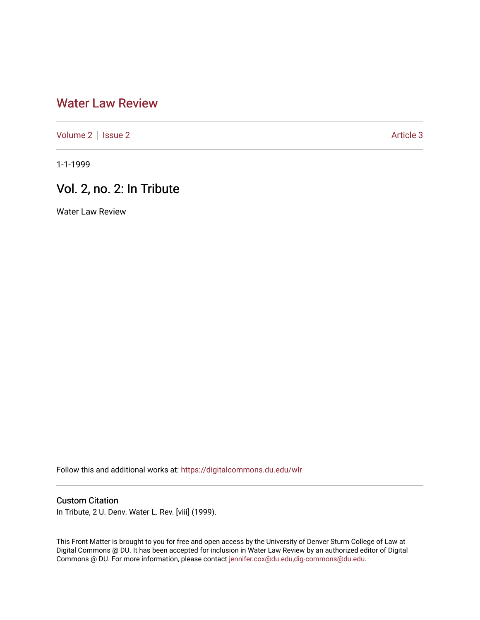## [Water Law Review](https://digitalcommons.du.edu/wlr)

[Volume 2](https://digitalcommons.du.edu/wlr/vol2) | [Issue 2](https://digitalcommons.du.edu/wlr/vol2/iss2) Article 3

1-1-1999

## Vol. 2, no. 2: In Tribute

Water Law Review

Follow this and additional works at: [https://digitalcommons.du.edu/wlr](https://digitalcommons.du.edu/wlr?utm_source=digitalcommons.du.edu%2Fwlr%2Fvol2%2Fiss2%2F3&utm_medium=PDF&utm_campaign=PDFCoverPages) 

## Custom Citation

In Tribute, 2 U. Denv. Water L. Rev. [viii] (1999).

This Front Matter is brought to you for free and open access by the University of Denver Sturm College of Law at Digital Commons @ DU. It has been accepted for inclusion in Water Law Review by an authorized editor of Digital Commons @ DU. For more information, please contact [jennifer.cox@du.edu,dig-commons@du.edu.](mailto:jennifer.cox@du.edu,dig-commons@du.edu)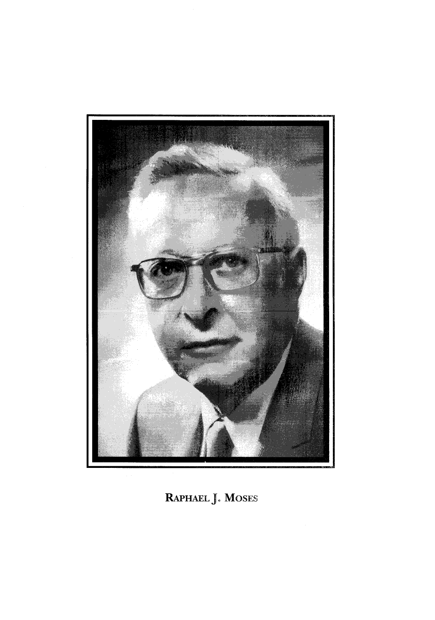

RAPHAEL J. MOSES